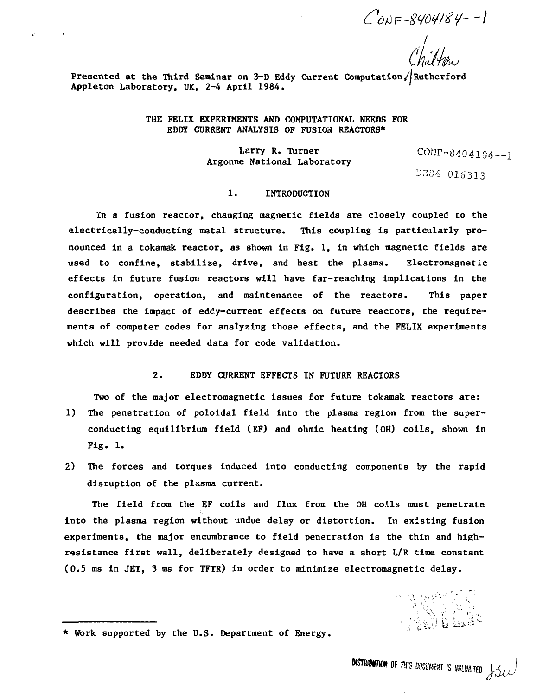$C_{0N} = 8404184 - 1$ 

 $\frac{1}{\sqrt{2}}$ 

**Presented at the Third Seminar on 3-D Eddy Current Computation//Rutherford Appleton Laboratory, UK, 2-4 April 1984. '**

 $\mathbf{c}$ 

**THE FELIX EXPERIMENTS AND COMPUTATIONAL NEEDS FOR EDDY CURRENT ANALYSIS OF FUSION REACTORS\***

> Larry R. Turner  $CONP-8404164-1$ **Argonne National Laboratory**

#### $\mathbf{1}$ . **TNTRODUCTION**

**In a fusion reactor, changing magnetic fields are closely coupled to the electrically-conducting metal structure. This coupling is particularly pronounced in a tokamak reactor, as shown in Fig. 1, in which magnetic fields are used to confine, stabilize, drive, and heat the plasma. Electromagnetic effects in future fusion reactors will have far-reaching implications In the configuration, operation, and maintenance of the reactors. This paper describes the impact of eddy-current effects on future reactors, the requirements of computer codes for analyzing those effects, and the FELIX experiments which will provide needed data for code validation.**

#### **2. EDDY CURRENT EFFECTS IN FUTURE REACTORS**

**Two of the major electromagnetic issues for future tokamak reactors are:**

- **1) The penetration of poloidal field into the plasma region from the superconducting equilibrium field (EF) and ohmic heating (OH) coils, shown in Fig. 1.**
- **2) The forces and torques induced into conducting components by the rapid disruption of the plasma current.**

**The field from the EF coils and flux from the OH coils must penetrate into the plasma region without undue delay or distortion. In existing fusion experiments, the major encumbrance to field penetration Is the thin and highresistance first wall, deliberately designed to have a short L/R time constant (0.5 ms in JET, 3 ms for TFTR) in order to minimize electromagnetic delay.**

100 LE

**<sup>\*</sup> Work supported by the U.S. Department of Energy.**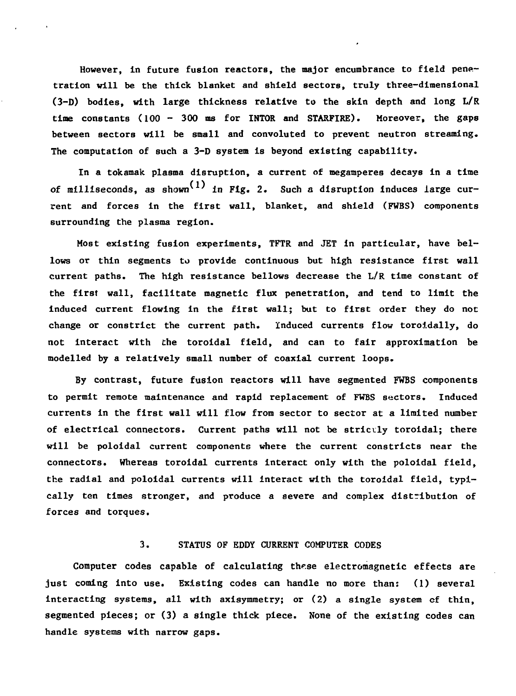**However, in future fusion reactors, the major encumbrance to field penetration will be the thick blanket and shield sectors, truly three-dimensional (3-D) bodies, with large thickness relative to the skin depth and long L/R time constants (100 - 300 ms for INTOR and STARPIRE). Moreover, the gaps between sectors will be small and convoluted to prevent neutron streaming. The computation of such a 3-D system is beyond existing capability.**

**In a tokamak plasma disruption, a current of negamperes decays in a time** of milliseconds, as shown<sup>(1)</sup> in Fig. 2. Such a disruption induces large cur**rent and forces in the first wall, blanket, and shield (FWBS) components surrounding the plasma region.**

**Most existing fusion experiments, TFTR and JET in particular, have bellows or thin segments to provide continuous but high resistance first wall current paths. The high resistance bellows decrease the L/R time constant of the first wall, facilitate magnetic flux penetration, and tend to limit the induced current flowing in the first wall; but to first order they do not change or constrict the current path. Induced currents flow toroidally, do not interact with the toroidal field, and can to fair approximation be modelled by a relatively small number of coaxial current loops.**

**By contrast, future fusion reactors will have segmented FWBS components to permit remote maintenance and rapid replacement of FWBS sectors. Induced currents in the first wall will flow from sector to sector at a limited number of electrical connectors. Current paths will not be strictly toroidal; there will be poloidal current components where the current constricts near the connectors. Whereas toroidal currents interact only with the poloidal field, the radial and poloidal currents will interact with the toroidal field, typically ten times stronger, and produce a severe and complex distribution of forces and torques.**

## **3. STATUS OF EDDY CURRENT COMPUTER CODES**

Computer codes capable of calculating these electromagnetic effects are **just coming into use. Existing codes can handle no more than: (1) several interacting systems, all with axisymmetry; or (2) a single system cf thin, segmented pieces; or (3) a single thick piece. None of the existing codes can handle systems with narrow gaps.**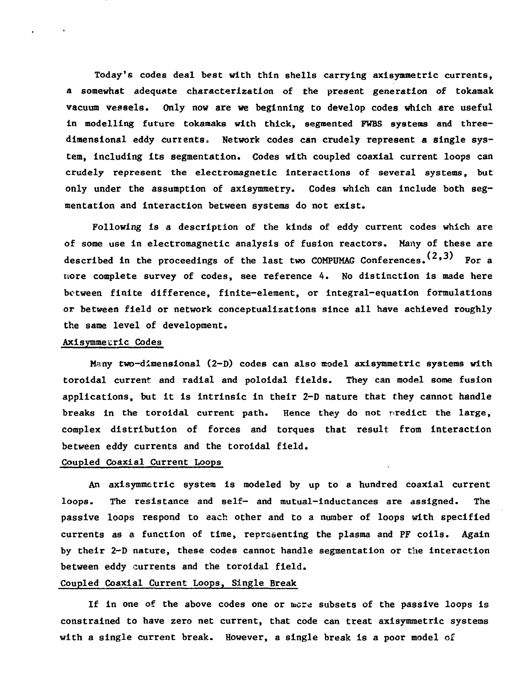**Today's codes deal best with thin shells carrying axisymmetric currents, a somewhat adequate characterization of the present generation of tokamak vacuum vessels. Only now are we beginning to develop codes which are useful in modelling future tokamaks with thick, segmented FWBS systems and threedimensional eddy currents" Network codes can crudely represent a single system, including its segmentation. Codes with coupled coaxial current loops can crudely represent the electromagnetic interactions of several systems, but only under the assumption of axisymraetry. Codes which can include both segmentation and interaction between systems do not exist.**

**Following is a description of the kinds of eddy current codes which are of some use in electromagnetic analysis of fusion reactors. Many of these are** described in the proceedings of the last two COMPUMAG Conferences.  $(2,3)$  For a **tsore complete survey of codes, see reference 4. No distinction is made here between finite difference, finite-element, or integral-equation formulations or between field or network conceptualizations since all have achieved roughly the same level of development.**

#### **Axisymmecric Codes**

 $\sim$  4.

**Many two-dimensional (2-D) codes can also model axisymmetric systems with toroidal current and radial and poloidal fields. They can model some fusion applications, but it is intrinsic in their 2-D nature that they cannot handle breaks in the toroidal current path. Hence they do not predict the large, complex distribution of forces and torques that result from interaction between eddy currents and the toroidal field.**

#### **Coupled Coaxial Current Loops**

**An axisymmetric system is modeled by up to a hundred coaxial current loops. The resistance and self- and mutual-inductances are assigned. The passive loops respond to each other and to a number of loops with specified currents as a function of time, representing the plasma and PF coils. Again by their 2-D nature, these codes cannot handle segmentation or the interaction between eddy currents and the toroidal field.**

# **Coupled Coaxial Current Loops, Single Break**

**If in one of the above codes one or mere subsets of the passive loops is constrained to have zero net current, that code can treat axisymmetric systems with a single current break. However, a single break is a poor model of**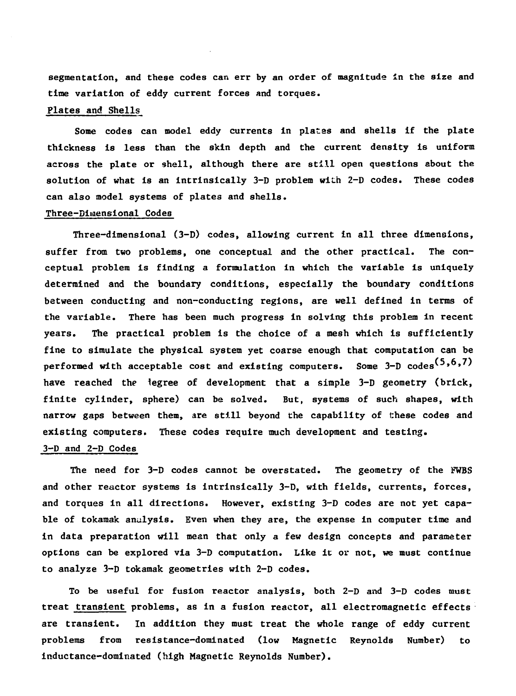**segmentation, and these codes can err by an order of magnitude in the size and time variation of eddy current forces and torques.**

# **Plates and Shells**

Some codes can model eddy currents in plates and shells if the plate **thickness is less than the skin depth and the current density is uniform across the plate or shell, although there are still open questions about the solution of what is an intrinsically 3-D problem with 2-D codes. These codes can also model systems of plates and shells.**

#### **Three-Diiaens tonal Codes**

**Three-dimensional (3-D) codes, allowing current in all three dimensions, suffer from two problems, one conceptual and the other practical. The conceptual problem is finding a formulation in which the variable is uniquely determined and the boundary conditions, especially the boundary conditions between conducting and non-conducting regions, are well defined in terms of the variable. There has been much progress in solving this problem in recent years. The practical problem is the choice of a mesh which is sufficiently fine to simulate the physical system yet coarse enough that computation can be** performed with acceptable cost and existing computers. Some 3-D codes<sup>(5,6,7)</sup> **have reached the legree of development that a simple 3-D geometry (brick, finite cylinder, sphere) can be solved. But, systems of such shapes, with narrow gaps between them, are still beyond the capability of these codes and existing computers. These codes require much development and testing.**

# **3-D and 2-D Codes**

**The need for 3-D codes cannot be overstated. The geometry of the FWBS and other reactor systems is intrinsically 3-D, with fields, currents, forces, and torques in all directions. However, existing 3-D codes are not yet capable of tokamak analysis. Even when they are, the expense in computer time and in data preparation will mean that only a few design concepts and parameter options can be explored via 3-D computation. Like it or not, we must continue to analyze 3-D tokamak geometries with 2-D codes.**

**To be useful for fusion reactor analysis, both 2-D and 3-D codes must treat transient problems, as in a fusion reactor, all electromagnetic effects are transient. In addition they must treat the whole range of eddy current problems from resistance-dominated (low Magnetic Reynolds Number) to inductance-dominated (high Magnetic Reynolds Number).**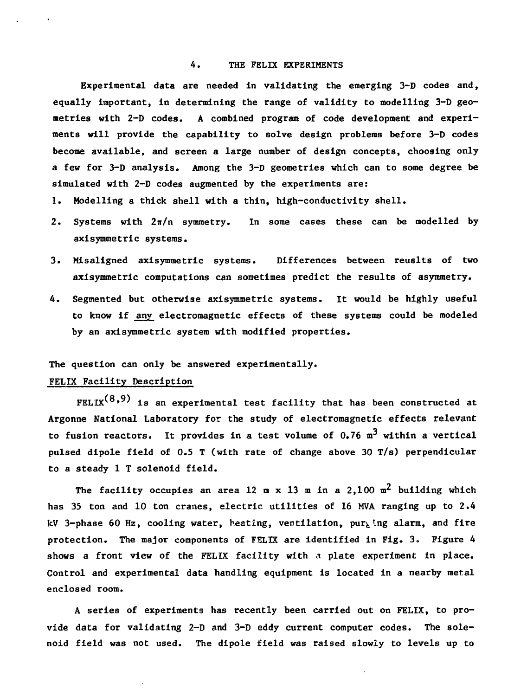### **4. THE FELIX EXPERIMENTS**

**Experimental data are needed in validating the emerging 3-D codes and, equally important, in determining the range of validity to modelling 3-D geometries with 2-D codes. A combined program of code development and experiments will provide the capability to solve design problems before 3-D codes become available, and screen a large number of design concepts, choosing only a few for 3-D analysis. Among the 3-D geometries which can to some degree be simulated with 2-D codes augmented by the experiments are:**

- **1. Modelling a thick shell with a thin, high-conductivity shell.**
- 2. Systems with  $2\pi/n$  symmetry. In some cases these can be modelled by **axisymmetric systems.**
- **3. Misaligned axisymmetric systems. Differences between reuslts of two axisymmetric computations can sometimes predict the results of asymmetry.**
- **4. Segmented but otherwise axisymmetric systems. It would be highly useful to know if any electromagnetic effects of these systems could be modeled by an axisymmetric system with modified properties.**

#### **The question can only be answered experimentally.**

# **FELIX Facility Description**

 $FELIX<sup>(8,9)</sup>$  is an experimental test facility that has been constructed at **Argonne National Laboratory for the study of electromagnetic effects relevant** to fusion reactors. It provides in a test volume of  $0.76 \text{ m}^3$  within a vertical **pulsed dlpole field of 0.5 T (with rate of change above 30 T/s) perpendicular to a steady 1 T solenoid field.**

The facility occupies an area 12 m x 13 m in a  $2.100$  m<sup>2</sup> building which **has 35 ton and 10 ton cranes, electric utilities of 16 MVA ranging up to 2.4 kV 3-phase 60 Hz, cooling water, heating, ventilation, purging alarm, and fire protection. The major components of FELIX are identified in Fig. 3. Figure 4 shows a front view of the FELIX facility with a plate experiment in place. Control and experimental data handling equipment is located in a nearby metal enclosed room.**

**A series of experiments has recently been carried out on FELIX, to provide data for validating 2-D and 3-D eddy current computer codes. The solenoid field was not used. The dipole field was raised slowly to levels up to**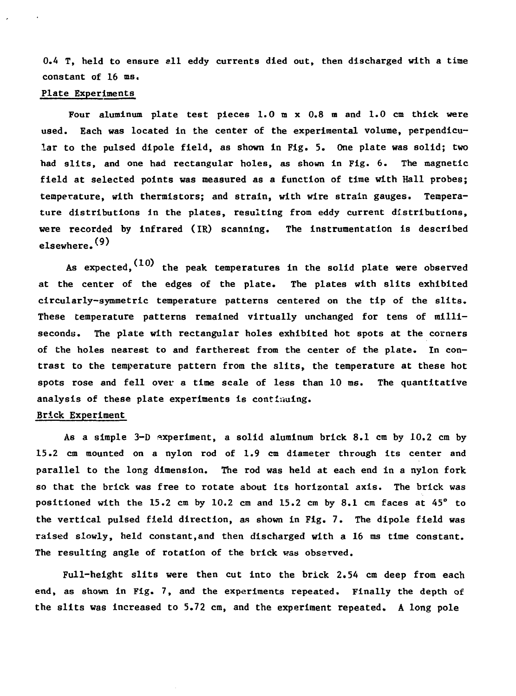**0.4 T, held to ensure all eddy currents died out, then discharged with a time constant of 16 ms.**

#### **Plate Experiments**

**Four aluminum plate test pieces 1.0 m x 0.8 m and 1.0 cm thick were used. Each was located in the center of the experimental volume, perpendicular to the pulsed dipole field, as shown in Fig. 5. One plate was solid; two had slits, and one had rectangular holes, as shown in Fig. 6. The magnetic field at selected points was measured as a function of time with Hall probes; temperature, with thermistors; and strain, with wire strain gauges. Temperature distributions in the plates, resulting from eddy current distributions, were recorded by infrared (IR) scanning. The instrumentation is described elsewhere.v/**

**As expected,^ ' the peak temperatures in the solid plate were observed at the center of the edge6 of the plate. The plates with slits exhibited circularly-symmetric temperature patterns centered on the tip of the slits. These temperature patterns remained virtually unchanged for tens of milliseconds. The plate with rectangular holes exhibited hot spots at the corners of the holes nearest to and fartherest from the center of the plate. In contrast to the temperature pattern from the slits, the temperature at these hot spots rose and fell over a time scale of less than 10 ms. The quantitative analysis of these plate experiments is continuing.**

# **Brick Experiment**

**As a simple 3-D experiment, a solid aluminum brick 8.1 cm by 10.2 cm by 15.2 cm mounted on a nylon rod of 1.9 cm diameter through its center and parallel to the long dimension. The rod was held at each end in a nylon fork so that the brick was free to rotate about its horizontal axis. The brick was positioned with the 15.2 cm by 10.2 cm and 15.2 cm by 8.1 cm faces at 45° to the vertical pulsed field direction, as shown in Fig. 7. The dipole field was raised slowly, held constant,and then discharged with a 16 ms time constant. The resulting angle of rotation of the brick was observed.**

**Full-height slits were then cut into the brick 2.54 cm deep from each end, as shown in Fig. 7, and the experiments repeated. Finally the depth of the slits was increased to 5.72 cm, and the experiment repeated. A long pole**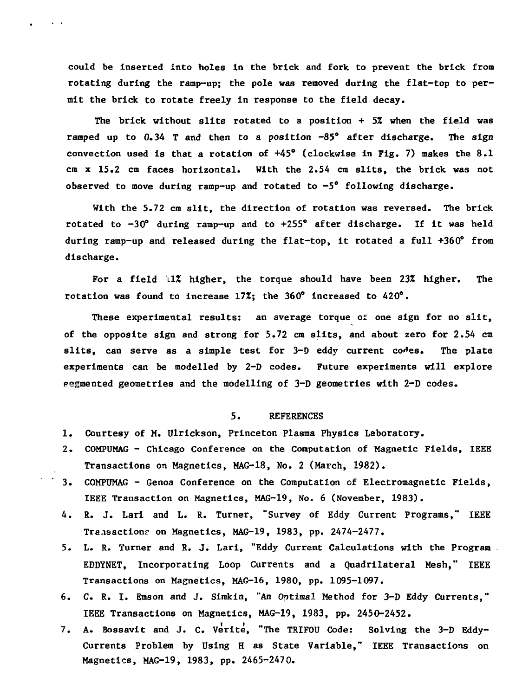**could be Inserted into holes In the brick and fork to prevent the brick from rotating during the ramp-up; the pole was removed during the flat-top to permit the brick to rotate freely in response to the field decay.**

 $\sim$  40  $\,$  A

**The brick without slits rotated to a position + 5% when the field was ramped up to 0.34 T and then to a position -85° after discharge. The sign convection used is that a rotation of +45° (clockwise in Fig. 7) makes the 8.1 cm x 15.2 cm faces horizontal. With the 2.54 cm slits, the brick was not observed to move during ramp-up and rotated to -5° following discharge.**

**With the 5.72 cm slit, the direction of rotation was reversed. The brick rotated to -30° during ramp-up and to +255° after discharge. If it was held during ramp-up and released during the flat-top, it rotated a full +360° from discharge.**

**For a field 11% higher, the torque should have been 23% higher. The rotation was found to Increase 17%; the 360° increased to 420°.**

**These experimental results: an average torque of one sign for no slit, of the opposite sign and strong for 5.72 cm slits, and about zero for 2.54 cm slits, can serve as a simple test for 3-D eddy current co^es. The plate experiments can be modelled by 2-D codes. Future experiments will explore pegmented geometries and the modelling of 3-D geometries with 2-D codes.**

#### **5. REFERENCES**

- **1. Courtesy of M. Ulrickson, Princeton Plasma Physics Laboratory.**
- **2. COMPUMAG Chicago Conference on the Computation of Magnetic Fields, IEEE Transactions on Magnetics, MAG-18, No. 2 (March, 1982).**
- **3. COMPUMAG Genoa Conference on the Computation of Electromagnetic Fields, IEEE Transaction on Magnetics, MAG-19, No. 6 (November, 1983).**
- **4. R. J. Lari and L. R. Turner, "Survey of Eddy Current Programs," IEEE** Transactions on Magnetics, MAG-19, 1983, pp. 2474-2477.
- **5. L. R. Turner and R. J. Lari, "Eddy Current Calculations with the Program . EDDYNET, Incorporating Loop Currents and a Quadrilateral Mesh," IEEE Transactions on Magnetics, MAG-16, 1980, pp. 1095-1097.**
- **6. C. R. I. Emson and J. Simkin, "An Optimal Method for 3-D Eddy Currents," IEEE Transactions on Magnetics, MAG-19, 1983, pp. 2450-2452.**
- **7. A. Bossavit and J. C. Verite, "The TRIFOU Code: Solving the 3-D Eddy-Currents Problem by Using H as State Variable," IEEE Transactions on Magnetics, MAG-19, 1983, pp. 2465-2470.**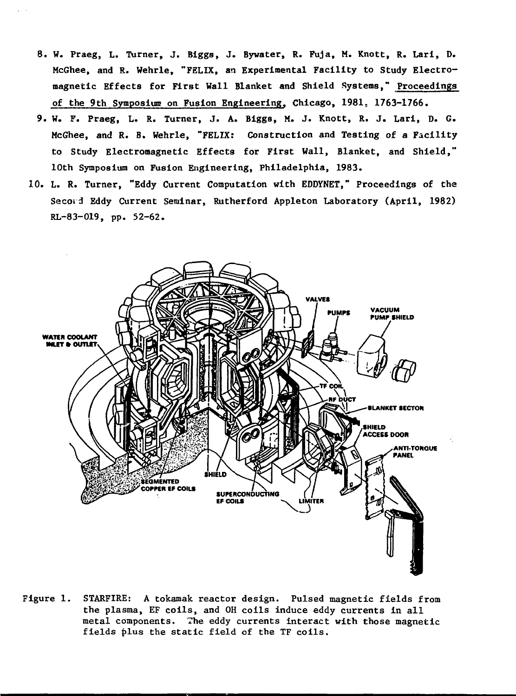- **8. W. Praeg, L. Turner, J. Biggs, J. Bywater, R. Fuja, M. Knott, R. Lari, D. McGhee, and R. Wehrle, "FELIX, an Experimental Facility to Study Electromagnetic Effects for First Wall Blanket and Shield Systems," Proceedings of the 9th Symposium on Fusion Engineering. Chicago, 1981, 1763-1766.**
- **9. W. F. Praeg, L. R. Turner, J. A. Biggs, M. J. Knott, R. J. Lari, D. G. McGhee, and R. B. Wehrle, "FELIX: Construction and Testing of a Facility to Study Electromagnetic Effects for First Wall, Blanket, and Shield," 10th Symposium on Fusion Engineering, Philadelphia, 1983.**
- **10. L. R. Turner, "Eddy Current Computation with EDDYNET," Proceedings of the Secord Eddy Current Seminar, Rutherford Appleton Laboratory (April, 1982) RL-83-019, pp. 52-62.**



**Figure 1. STARFIRE: A tokamak reactor design. Pulsed magnetic fields from the plasma, EF coils, and OH coils induce eddy currents in all metal components. The eddy currents interact with those magnetic fields plus the static field of the TF coils.**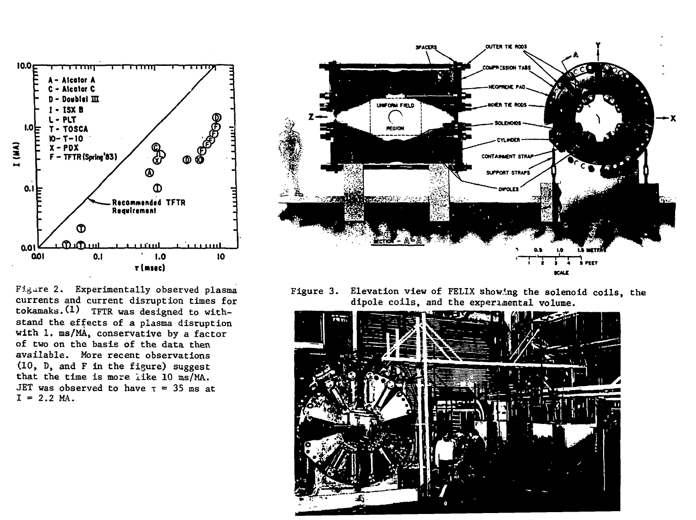

Figare 2. Experimentally observed plasma currents and current disruption times for tokamaks.(l) TFTR was designed to withstand the effects of a plasma disruption with 1. ms/MA, conservative by a factor of two on the basis of the data then available. More recent observations (10, D, and F in the figure) suggest that the time is more like 10 ms/MA. JET was observed to have  $\tau = 35$  ms at  $I = 2.2$  MA.



Figure 3. Elevation view of FELIX showing the solenoid coils, the dipole coils, and the experimental volume.

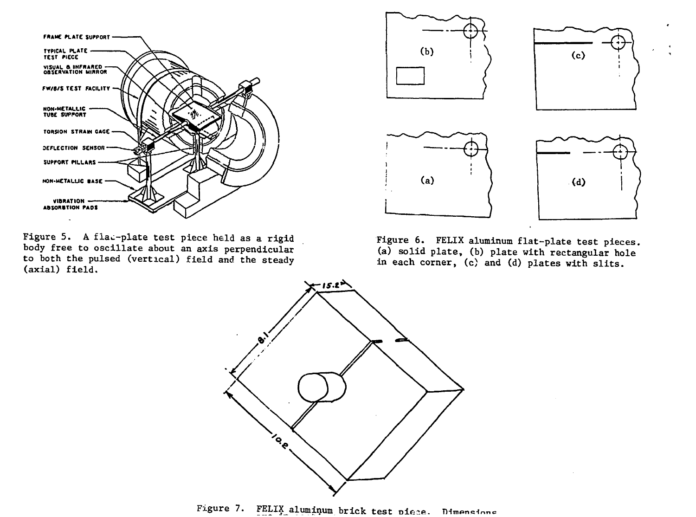

Figure 5. A flac-plate test piece held as a rigid body free to oscillate about an axis perpendicular to both the pulsed (vertical) field and the steady (axial) field.



Figure 6. FELIX aluminum flat-plate test pieces, (a) solid plate, (b) plate with rectangular hole in each corner, (c) and (d) plates with slits.



Figure 7. FELIX aluminum brick test piece. Dimensione